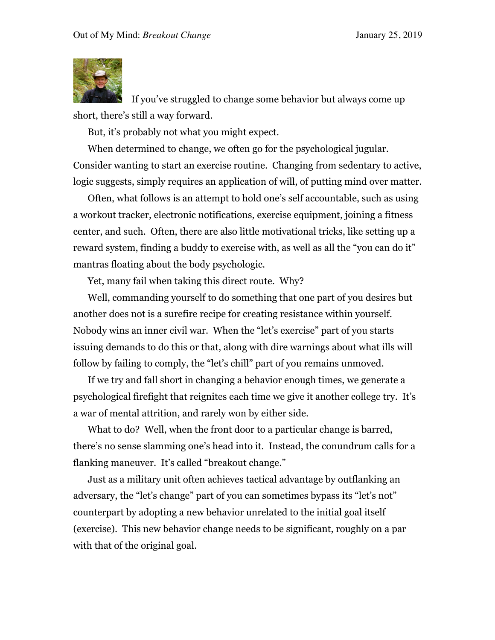

 If you've struggled to change some behavior but always come up short, there's still a way forward.

But, it's probably not what you might expect.

When determined to change, we often go for the psychological jugular. Consider wanting to start an exercise routine. Changing from sedentary to active, logic suggests, simply requires an application of will, of putting mind over matter.

Often, what follows is an attempt to hold one's self accountable, such as using a workout tracker, electronic notifications, exercise equipment, joining a fitness center, and such. Often, there are also little motivational tricks, like setting up a reward system, finding a buddy to exercise with, as well as all the "you can do it" mantras floating about the body psychologic.

Yet, many fail when taking this direct route. Why?

Well, commanding yourself to do something that one part of you desires but another does not is a surefire recipe for creating resistance within yourself. Nobody wins an inner civil war. When the "let's exercise" part of you starts issuing demands to do this or that, along with dire warnings about what ills will follow by failing to comply, the "let's chill" part of you remains unmoved.

If we try and fall short in changing a behavior enough times, we generate a psychological firefight that reignites each time we give it another college try. It's a war of mental attrition, and rarely won by either side.

What to do? Well, when the front door to a particular change is barred, there's no sense slamming one's head into it. Instead, the conundrum calls for a flanking maneuver. It's called "breakout change."

Just as a military unit often achieves tactical advantage by outflanking an adversary, the "let's change" part of you can sometimes bypass its "let's not" counterpart by adopting a new behavior unrelated to the initial goal itself (exercise). This new behavior change needs to be significant, roughly on a par with that of the original goal.